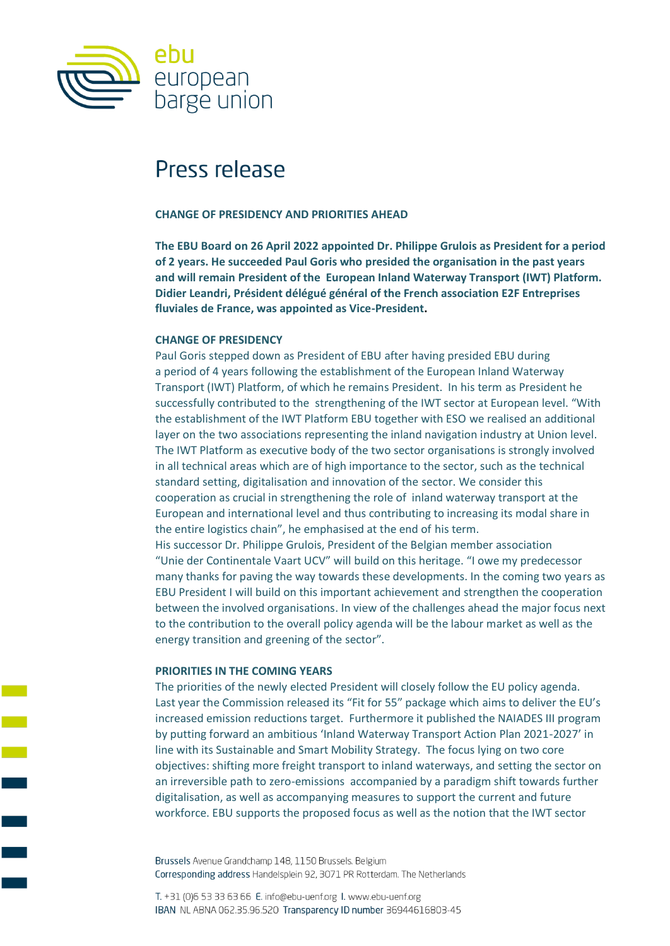

# Press release

### **CHANGE OF PRESIDENCY AND PRIORITIES AHEAD**

**The EBU Board on 26 April 2022 appointed Dr. Philippe Grulois as President for a period of 2 years. He succeeded Paul Goris who presided the organisation in the past years and will remain President of the European Inland Waterway Transport (IWT) Platform. Didier Leandri, Président délégué général of the French association E2F Entreprises fluviales de France, was appointed as Vice-President.**

### **CHANGE OF PRESIDENCY**

Paul Goris stepped down as President of EBU after having presided EBU during a period of 4 years following the establishment of the European Inland Waterway Transport (IWT) Platform, of which he remains President. In his term as President he successfully contributed to the strengthening of the IWT sector at European level. "With the establishment of the IWT Platform EBU together with ESO we realised an additional layer on the two associations representing the inland navigation industry at Union level. The IWT Platform as executive body of the two sector organisations is strongly involved in all technical areas which are of high importance to the sector, such as the technical standard setting, digitalisation and innovation of the sector. We consider this cooperation as crucial in strengthening the role of inland waterway transport at the European and international level and thus contributing to increasing its modal share in the entire logistics chain", he emphasised at the end of his term. His successor Dr. Philippe Grulois, President of the Belgian member association "Unie der Continentale Vaart UCV" will build on this heritage. "I owe my predecessor many thanks for paving the way towards these developments. In the coming two years as EBU President I will build on this important achievement and strengthen the cooperation between the involved organisations. In view of the challenges ahead the major focus next to the contribution to the overall policy agenda will be the labour market as well as the energy transition and greening of the sector".

#### **PRIORITIES IN THE COMING YEARS**

The priorities of the newly elected President will closely follow the EU policy agenda. Last year the Commission released its "Fit for 55" package which aims to deliver the EU's increased emission reductions target. Furthermore it published the NAIADES III program by putting forward an ambitious 'Inland Waterway Transport Action Plan 2021-2027' in line with its Sustainable and Smart Mobility Strategy. The focus lying on two core objectives: shifting more freight transport to inland waterways, and setting the sector on an irreversible path to zero-emissions accompanied by a paradigm shift towards further digitalisation, as well as accompanying measures to support the current and future workforce. EBU supports the proposed focus as well as the notion that the IWT sector

Brussels Avenue Grandchamp 148, 1150 Brussels. Belgium Corresponding address Handelsplein 92, 3071 PR Rotterdam. The Netherlands

T. +31 (0)6 53 33 63 66 E. info@ebu-uenf.org I. www.ebu-uenf.org IBAN NL ABNA 062.35.96.520 Transparency ID number 36944616803-45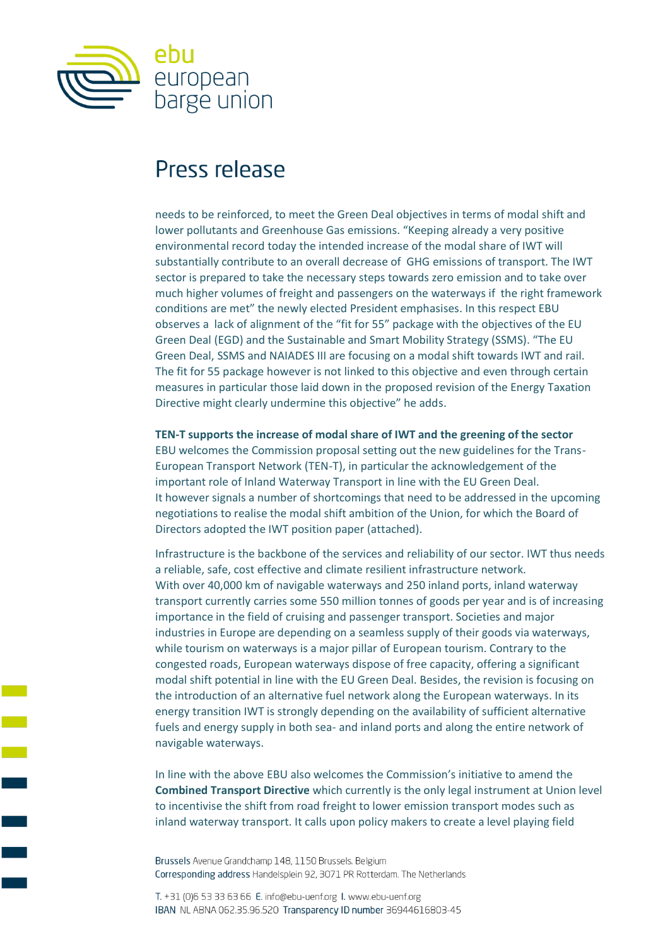

# Press release

needs to be reinforced, to meet the Green Deal objectives in terms of modal shift and lower pollutants and Greenhouse Gas emissions. "Keeping already a very positive environmental record today the intended increase of the modal share of IWT will substantially contribute to an overall decrease of GHG emissions of transport. The IWT sector is prepared to take the necessary steps towards zero emission and to take over much higher volumes of freight and passengers on the waterways if the right framework conditions are met" the newly elected President emphasises. In this respect EBU observes a lack of alignment of the "fit for 55" package with the objectives of the EU Green Deal (EGD) and the Sustainable and Smart Mobility Strategy (SSMS). "The EU Green Deal, SSMS and NAIADES III are focusing on a modal shift towards IWT and rail. The fit for 55 package however is not linked to this objective and even through certain measures in particular those laid down in the proposed revision of the Energy Taxation Directive might clearly undermine this objective" he adds.

**TEN-T supports the increase of modal share of IWT and the greening of the sector**  EBU welcomes the Commission proposal setting out the new guidelines for the Trans-European Transport Network (TEN-T), in particular the acknowledgement of the important role of Inland Waterway Transport in line with the EU Green Deal. It however signals a number of shortcomings that need to be addressed in the upcoming negotiations to realise the modal shift ambition of the Union, for which the Board of Directors adopted the IWT position paper (attached).

Infrastructure is the backbone of the services and reliability of our sector. IWT thus needs a reliable, safe, cost effective and climate resilient infrastructure network. With over 40,000 km of navigable waterways and 250 inland ports, inland waterway transport currently carries some 550 million tonnes of goods per year and is of increasing importance in the field of cruising and passenger transport. Societies and major industries in Europe are depending on a seamless supply of their goods via waterways, while tourism on waterways is a major pillar of European tourism. Contrary to the congested roads, European waterways dispose of free capacity, offering a significant modal shift potential in line with the EU Green Deal. Besides, the revision is focusing on the introduction of an alternative fuel network along the European waterways. In its energy transition IWT is strongly depending on the availability of sufficient alternative fuels and energy supply in both sea- and inland ports and along the entire network of navigable waterways.

In line with the above EBU also welcomes the Commission's initiative to amend the **Combined Transport Directive** which currently is the only legal instrument at Union level to incentivise the shift from road freight to lower emission transport modes such as inland waterway transport. It calls upon policy makers to create a level playing field

Brussels Avenue Grandchamp 148, 1150 Brussels. Belgium Corresponding address Handelsplein 92, 3071 PR Rotterdam. The Netherlands

T. +31 (0)6 53 33 63 66 E. info@ebu-uenf.org I. www.ebu-uenf.org IBAN NL ABNA 062.35.96.520 Transparency ID number 36944616803-45